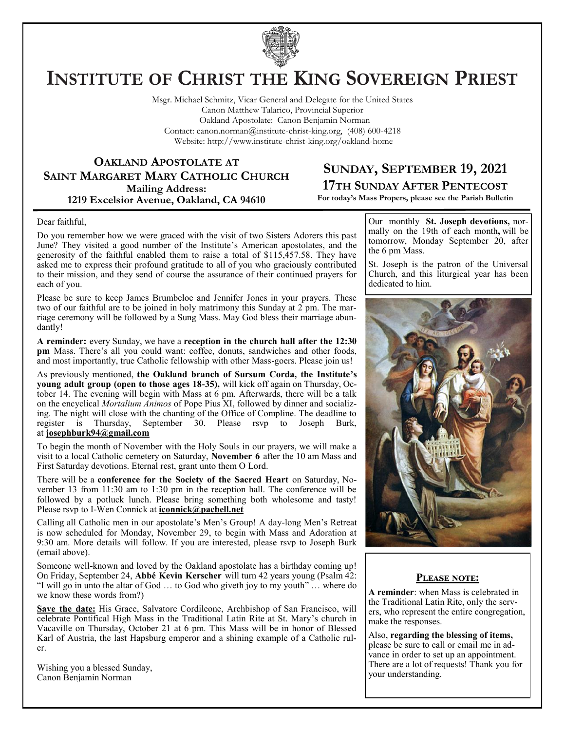

# **INSTITUTE OF CHRIST THE KING SOVEREIGN PRIEST**

Msgr. Michael Schmitz, Vicar General and Delegate for the United States Canon Matthew Talarico, Provincial Superior Oakland Apostolate: Canon Benjamin Norman Contact: canon.norman@institute-christ-king.org, (408) 600-4218 Website: http://www.institute-christ-king.org/oakland-home

**OAKLAND APOSTOLATE AT SAINT MARGARET MARY CATHOLIC CHURCH Mailing Address: 1219 Excelsior Avenue, Oakland, CA 94610**

### **SUNDAY, SEPTEMBER 19, 2021 17TH SUNDAY AFTER PENTECOST**

**For today's Mass Propers, please see the Parish Bulletin**

#### Dear faithful,

Do you remember how we were graced with the visit of two Sisters Adorers this past June? They visited a good number of the Institute's American apostolates, and the generosity of the faithful enabled them to raise a total of \$115,457.58. They have asked me to express their profound gratitude to all of you who graciously contributed to their mission, and they send of course the assurance of their continued prayers for each of you.

Please be sure to keep James Brumbeloe and Jennifer Jones in your prayers. These two of our faithful are to be joined in holy matrimony this Sunday at 2 pm. The marriage ceremony will be followed by a Sung Mass. May God bless their marriage abundantly!

**A reminder:** every Sunday, we have a **reception in the church hall after the 12:30 pm** Mass. There's all you could want: coffee, donuts, sandwiches and other foods, and most importantly, true Catholic fellowship with other Mass-goers. Please join us!

As previously mentioned, **the Oakland branch of Sursum Corda, the Institute's young adult group (open to those ages 18-35),** will kick off again on Thursday, October 14. The evening will begin with Mass at 6 pm. Afterwards, there will be a talk on the encyclical *Mortalium Animos* of Pope Pius XI, followed by dinner and socializing. The night will close with the chanting of the Office of Compline. The deadline to register is Thursday, September 30. Please rsvp to Joseph Burk, at **[josephburk94@gmail.com](mailto:josephburk94@gmail.com)**

To begin the month of November with the Holy Souls in our prayers, we will make a visit to a local Catholic cemetery on Saturday, **November 6** after the 10 am Mass and First Saturday devotions. Eternal rest, grant unto them O Lord.

There will be a **conference for the Society of the Sacred Heart** on Saturday, November 13 from 11:30 am to 1:30 pm in the reception hall. The conference will be followed by a potluck lunch. Please bring something both wholesome and tasty! Please rsvp to I-Wen Connick at **[iconnick@pacbell.net](mailto:iconnick@pacbell.net)**

Calling all Catholic men in our apostolate's Men's Group! A day-long Men's Retreat is now scheduled for Monday, November 29, to begin with Mass and Adoration at 9:30 am. More details will follow. If you are interested, please rsvp to Joseph Burk (email above).

Someone well-known and loved by the Oakland apostolate has a birthday coming up! On Friday, September 24, **Abbé Kevin Kerscher** will turn 42 years young (Psalm 42: "I will go in unto the altar of God … to God who giveth joy to my youth" … where do we know these words from?)

**Save the date:** His Grace, Salvatore Cordileone, Archbishop of San Francisco, will celebrate Pontifical High Mass in the Traditional Latin Rite at St. Mary's church in Vacaville on Thursday, October 21 at 6 pm. This Mass will be in honor of Blessed Karl of Austria, the last Hapsburg emperor and a shining example of a Catholic ruler.

Wishing you a blessed Sunday, Canon Benjamin Norman

Our monthly **St. Joseph devotions,** normally on the 19th of each month**,** will be tomorrow, Monday September 20, after the 6 pm Mass.

St. Joseph is the patron of the Universal Church, and this liturgical year has been dedicated to him.



#### **Please note:**

**A reminder**: when Mass is celebrated in the Traditional Latin Rite, only the servers, who represent the entire congregation, make the responses.

Also, **regarding the blessing of items,** please be sure to call or email me in advance in order to set up an appointment. There are a lot of requests! Thank you for your understanding.